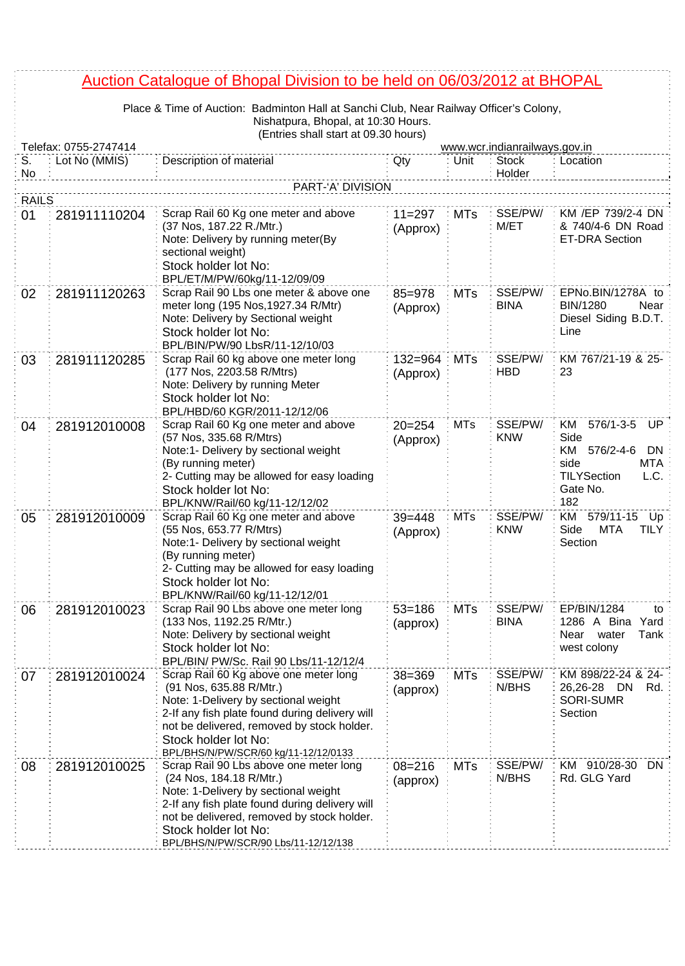## Auction Catalogue of Bhopal Division to be held on 06/03/2012 at BHOPAL

Place & Time of Auction: Badminton Hall at Sanchi Club, Near Railway Officer's Colony, Nishatpura, Bhopal, at 10:30 Hours.

|              | (Entries shall start at 09.30 hours)<br>Telefax: 0755-2747414<br>www.wcr.indianrailways.gov.in |                                                                                                                                                                                                                                                                           |                         |            |                        |                                                                                                                              |
|--------------|------------------------------------------------------------------------------------------------|---------------------------------------------------------------------------------------------------------------------------------------------------------------------------------------------------------------------------------------------------------------------------|-------------------------|------------|------------------------|------------------------------------------------------------------------------------------------------------------------------|
| S.           | Lot No (MMIS)                                                                                  | Description of material                                                                                                                                                                                                                                                   | Qty                     | Unit       | <b>Stock</b>           | Location                                                                                                                     |
| No           |                                                                                                |                                                                                                                                                                                                                                                                           |                         |            | Holder                 |                                                                                                                              |
|              |                                                                                                | PART-'A' DIVISION                                                                                                                                                                                                                                                         |                         |            |                        |                                                                                                                              |
| <b>RAILS</b> |                                                                                                |                                                                                                                                                                                                                                                                           |                         |            |                        |                                                                                                                              |
| 01           | 281911110204                                                                                   | Scrap Rail 60 Kg one meter and above<br>(37 Nos, 187.22 R./Mtr.)<br>Note: Delivery by running meter(By<br>sectional weight)<br>Stock holder lot No:<br>BPL/ET/M/PW/60kg/11-12/09/09                                                                                       | $11 = 297$<br>(Approx)  | <b>MTs</b> | SSE/PW/<br>M/ET        | KM /EP 739/2-4 DN<br>& 740/4-6 DN Road<br><b>ET-DRA Section</b>                                                              |
| 02           | 281911120263                                                                                   | Scrap Rail 90 Lbs one meter & above one<br>meter long (195 Nos, 1927.34 R/Mtr)<br>Note: Delivery by Sectional weight<br>Stock holder lot No:<br>BPL/BIN/PW/90 LbsR/11-12/10/03                                                                                            | $85 = 978$<br>(Approx)  | <b>MTs</b> | SSE/PW/<br><b>BINA</b> | EPNo.BIN/1278A to<br><b>BIN/1280</b><br>Near<br>Diesel Siding B.D.T.<br>Line                                                 |
| 03           | 281911120285                                                                                   | Scrap Rail 60 kg above one meter long<br>(177 Nos, 2203.58 R/Mtrs)<br>Note: Delivery by running Meter<br>Stock holder lot No:<br>BPL/HBD/60 KGR/2011-12/12/06                                                                                                             | $132 = 964$<br>(Approx) | <b>MTs</b> | SSE/PW/<br><b>HBD</b>  | KM 767/21-19 & 25-<br>23                                                                                                     |
| 04           | 281912010008                                                                                   | Scrap Rail 60 Kg one meter and above<br>(57 Nos, 335.68 R/Mtrs)<br>Note:1- Delivery by sectional weight<br>(By running meter)<br>2- Cutting may be allowed for easy loading<br>Stock holder lot No:<br>BPL/KNW/Rail/60 kg/11-12/12/02                                     | $20 = 254$<br>(Approx)  | <b>MTs</b> | SSE/PW/<br><b>KNW</b>  | $576/1 - 3 - 5$<br>KM<br>UP<br>Side<br>576/2-4-6<br>KM<br>DN<br>side<br>MTA<br><b>TILYSection</b><br>L.C.<br>Gate No.<br>182 |
| 05           | 281912010009                                                                                   | Scrap Rail 60 Kg one meter and above<br>(55 Nos, 653.77 R/Mtrs)<br>Note:1- Delivery by sectional weight<br>(By running meter)<br>2- Cutting may be allowed for easy loading<br>Stock holder lot No:<br>BPL/KNW/Rail/60 kg/11-12/12/01                                     | $39 = 448$<br>(Approx)  | <b>MTs</b> | SSE/PW/<br><b>KNW</b>  | KM<br>579/11-15<br>Up<br>Side<br><b>MTA</b><br><b>TILY</b><br>Section                                                        |
| 06           | 281912010023                                                                                   | Scrap Rail 90 Lbs above one meter long<br>(133 Nos, 1192.25 R/Mtr.)<br>Note: Delivery by sectional weight<br>Stock holder lot No:<br>BPL/BIN/ PW/Sc. Rail 90 Lbs/11-12/12/4                                                                                               | $53 = 186$<br>(approx)  | <b>MTs</b> | SSE/PW/<br><b>BINA</b> | EP/BIN/1284<br>to<br>1286 A Bina Yard<br>Tank<br>Near water<br>west colony                                                   |
| 07           | 281912010024                                                                                   | Scrap Rail 60 Kg above one meter long<br>(91 Nos, 635.88 R/Mtr.)<br>Note: 1-Delivery by sectional weight<br>2-If any fish plate found during delivery will<br>not be delivered, removed by stock holder.<br>Stock holder lot No:<br>BPL/BHS/N/PW/SCR/60 kg/11-12/12/0133  | 38=369<br>(approx)      | <b>MTs</b> | SSE/PW/<br>N/BHS       | KM 898/22-24 & 24-<br>26,26-28<br>DN<br>Rd.<br><b>SORI-SUMR</b><br>Section                                                   |
| 08           | 281912010025                                                                                   | Scrap Rail 90 Lbs above one meter long<br>(24 Nos, 184.18 R/Mtr.)<br>Note: 1-Delivery by sectional weight<br>2-If any fish plate found during delivery will<br>not be delivered, removed by stock holder.<br>Stock holder lot No:<br>BPL/BHS/N/PW/SCR/90 Lbs/11-12/12/138 | $08 = 216$<br>(approx)  | <b>MTs</b> | SSE/PW/<br>N/BHS       | KM 910/28-30<br>DN.<br>Rd. GLG Yard                                                                                          |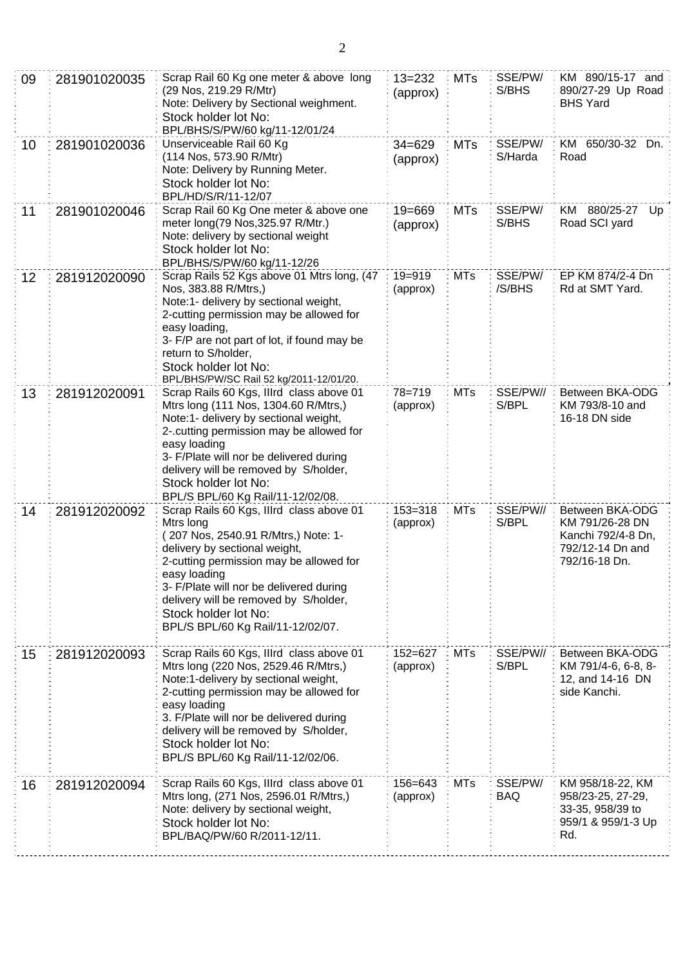| 09 | 281901020035 | Scrap Rail 60 Kg one meter & above long<br>(29 Nos, 219.29 R/Mtr)<br>Note: Delivery by Sectional weighment.<br>Stock holder lot No:<br>BPL/BHS/S/PW/60 kg/11-12/01/24                                                                                                                                                                    | $13 = 232$<br>(approx)  | <b>MTs</b> | SSE/PW/<br>S/BHS   | KM 890/15-17 and<br>890/27-29 Up Road<br><b>BHS Yard</b>                                      |
|----|--------------|------------------------------------------------------------------------------------------------------------------------------------------------------------------------------------------------------------------------------------------------------------------------------------------------------------------------------------------|-------------------------|------------|--------------------|-----------------------------------------------------------------------------------------------|
| 10 | 281901020036 | Unserviceable Rail 60 Kg<br>(114 Nos, 573.90 R/Mtr)<br>Note: Delivery by Running Meter.<br>Stock holder lot No:<br>BPL/HD/S/R/11-12/07                                                                                                                                                                                                   | $34 = 629$<br>(approx)  | <b>MTs</b> | SSE/PW/<br>S/Harda | KM 650/30-32<br>Dn.<br>Road                                                                   |
| 11 | 281901020046 | Scrap Rail 60 Kg One meter & above one<br>$19 = 669$<br>meter long(79 Nos, 325.97 R/Mtr.)<br>(approx)<br>Note: delivery by sectional weight<br>Stock holder lot No:<br>BPL/BHS/S/PW/60 kg/11-12/26                                                                                                                                       |                         | <b>MTs</b> | SSE/PW/<br>S/BHS   | KM 880/25-27<br>Up<br>Road SCI yard                                                           |
| 12 | 281912020090 | Scrap Rails 52 Kgs above 01 Mtrs long, (47<br>Nos, 383.88 R/Mtrs,)<br>Note:1- delivery by sectional weight,<br>2-cutting permission may be allowed for<br>easy loading,<br>3- F/P are not part of lot, if found may be<br>return to S/holder,<br>Stock holder lot No:<br>BPL/BHS/PW/SC Rail 52 kg/2011-12/01/20.                         | $19 = 919$<br>(approx)  | <b>MTs</b> | SSE/PW/<br>/S/BHS  | EP KM 874/2-4 Dn<br>Rd at SMT Yard.                                                           |
| 13 | 281912020091 | Scrap Rails 60 Kgs, Illrd class above 01<br>Mtrs long (111 Nos, 1304.60 R/Mtrs,)<br>Note:1- delivery by sectional weight,<br>2-.cutting permission may be allowed for<br>easy loading<br>3- F/Plate will nor be delivered during<br>delivery will be removed by S/holder,<br>Stock holder lot No:<br>BPL/S BPL/60 Kg Rail/11-12/02/08.   | 78=719<br>(approx)      | <b>MTs</b> | SSE/PW//<br>S/BPL  | Between BKA-ODG<br>KM 793/8-10 and<br>16-18 DN side                                           |
| 14 | 281912020092 | Scrap Rails 60 Kgs, Illrd class above 01<br>Mtrs long<br>207 Nos, 2540.91 R/Mtrs,) Note: 1-<br>delivery by sectional weight,<br>2-cutting permission may be allowed for<br>easy loading<br>3- F/Plate will nor be delivered during<br>delivery will be removed by S/holder,<br>Stock holder lot No:<br>BPL/S BPL/60 Kg Rail/11-12/02/07. | $153 = 318$<br>(approx) | <b>MTs</b> | SSE/PW//<br>S/BPL  | Between BKA-ODG<br>KM 791/26-28 DN<br>Kanchi 792/4-8 Dn,<br>792/12-14 Dn and<br>792/16-18 Dn. |
| 15 | 281912020093 | Scrap Rails 60 Kgs, Illrd class above 01<br>Mtrs long (220 Nos, 2529.46 R/Mtrs,)<br>Note:1-delivery by sectional weight,<br>2-cutting permission may be allowed for<br>easy loading<br>3. F/Plate will nor be delivered during<br>delivery will be removed by S/holder,<br>Stock holder lot No:<br>BPL/S BPL/60 Kg Rail/11-12/02/06.     | $152 = 627$<br>(approx) | <b>MTs</b> | SSE/PW//<br>S/BPL  | Between BKA-ODG<br>KM 791/4-6, 6-8, 8-<br>12, and 14-16 DN<br>side Kanchi.                    |
| 16 | 281912020094 | Scrap Rails 60 Kgs, Illrd class above 01<br>Mtrs long, (271 Nos, 2596.01 R/Mtrs,)<br>Note: delivery by sectional weight,<br>Stock holder lot No:<br>BPL/BAQ/PW/60 R/2011-12/11.                                                                                                                                                          | 156=643<br>(approx)     | <b>MTs</b> | SSE/PW/<br>BAQ     | KM 958/18-22, KM<br>958/23-25, 27-29,<br>33-35, 958/39 to<br>959/1 & 959/1-3 Up<br>Rd.        |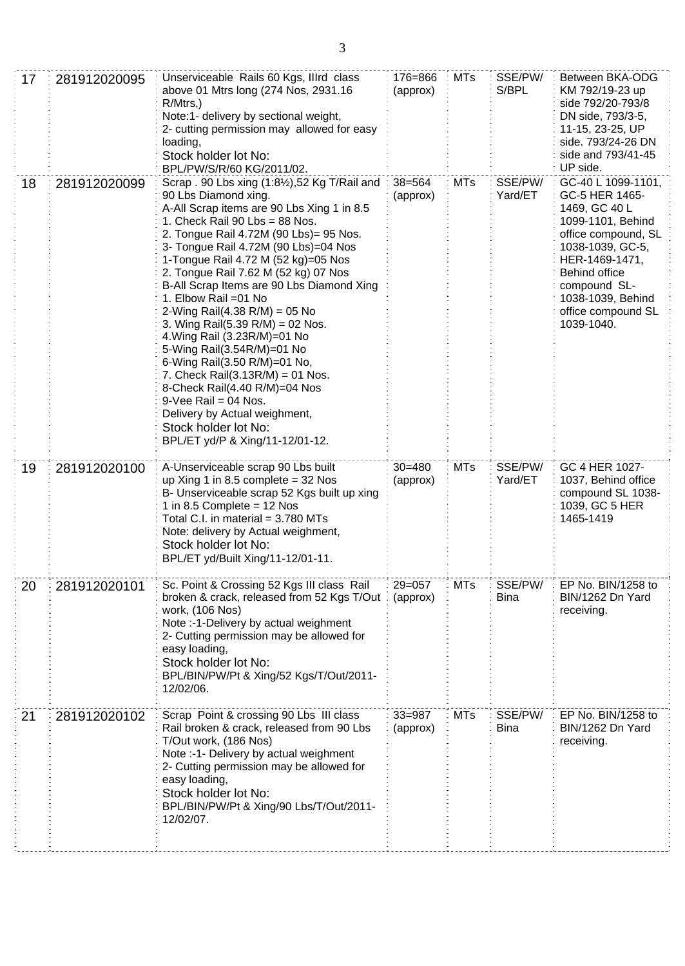| 17 | 281912020095 | Unserviceable Rails 60 Kgs, Illrd class<br>176=866<br>above 01 Mtrs long (274 Nos, 2931.16<br>(approx)<br>$R/M$ trs,)<br>Note:1- delivery by sectional weight,<br>2- cutting permission may allowed for easy<br>loading,<br>Stock holder lot No:                                                                                                                                                                                                                                                                                                                                                                                                                                                                                                                                                                       |                        | <b>MTs</b> | SSE/PW/<br>S/BPL       | Between BKA-ODG<br>KM 792/19-23 up<br>side 792/20-793/8<br>DN side, 793/3-5,<br>11-15, 23-25, UP<br>side. 793/24-26 DN<br>side and 793/41-45<br>UP side.                                                                                 |
|----|--------------|------------------------------------------------------------------------------------------------------------------------------------------------------------------------------------------------------------------------------------------------------------------------------------------------------------------------------------------------------------------------------------------------------------------------------------------------------------------------------------------------------------------------------------------------------------------------------------------------------------------------------------------------------------------------------------------------------------------------------------------------------------------------------------------------------------------------|------------------------|------------|------------------------|------------------------------------------------------------------------------------------------------------------------------------------------------------------------------------------------------------------------------------------|
| 18 | 281912020099 | BPL/PW/S/R/60 KG/2011/02.<br>Scrap . 90 Lbs xing (1:81/2), 52 Kg T/Rail and<br>$38 = 564$<br>90 Lbs Diamond xing.<br>(approx)<br>A-All Scrap items are 90 Lbs Xing 1 in 8.5<br>1. Check Rail 90 Lbs = 88 Nos.<br>2. Tongue Rail 4.72M (90 Lbs)= 95 Nos.<br>3- Tongue Rail 4.72M (90 Lbs)=04 Nos<br>1-Tongue Rail 4.72 M (52 kg)=05 Nos<br>2. Tongue Rail 7.62 M (52 kg) 07 Nos<br>B-All Scrap Items are 90 Lbs Diamond Xing<br>1. Elbow Rail = 01 No<br>2-Wing Rail(4.38 R/M) = 05 No<br>3. Wing Rail(5.39 R/M) = 02 Nos.<br>4. Wing Rail (3.23R/M)=01 No<br>5-Wing Rail(3.54R/M)=01 No<br>6-Wing Rail(3.50 R/M)=01 No,<br>7. Check Rail $(3.13R/M) = 01$ Nos.<br>8-Check Rail(4.40 R/M)=04 Nos<br>$9$ -Vee Rail = 04 Nos.<br>Delivery by Actual weighment,<br>Stock holder lot No:<br>BPL/ET yd/P & Xing/11-12/01-12. |                        | <b>MTs</b> | SSE/PW/<br>Yard/ET     | GC-40 L 1099-1101,<br>GC-5 HER 1465-<br>1469, GC 40 L<br>1099-1101, Behind<br>office compound, SL<br>1038-1039, GC-5,<br>HER-1469-1471,<br><b>Behind office</b><br>compound SL-<br>1038-1039, Behind<br>office compound SL<br>1039-1040. |
| 19 | 281912020100 | A-Unserviceable scrap 90 Lbs built<br>up Xing 1 in 8.5 complete = $32$ Nos<br>B- Unserviceable scrap 52 Kgs built up xing<br>1 in 8.5 Complete = $12$ Nos<br>Total C.I. in material $= 3.780$ MTs<br>Note: delivery by Actual weighment,<br>Stock holder lot No:<br>BPL/ET yd/Built Xing/11-12/01-11.                                                                                                                                                                                                                                                                                                                                                                                                                                                                                                                  | $30 = 480$<br>(approx) | <b>MTs</b> | SSE/PW/<br>Yard/ET     | GC 4 HER 1027-<br>1037, Behind office<br>compound SL 1038-<br>1039, GC 5 HER<br>1465-1419                                                                                                                                                |
| 20 | 281912020101 | Sc. Point & Crossing 52 Kgs III class Rail<br>broken & crack, released from 52 Kgs T/Out<br>work, (106 Nos)<br>Note :- 1-Delivery by actual weighment<br>2- Cutting permission may be allowed for<br>easy loading,<br>Stock holder lot No:<br>BPL/BIN/PW/Pt & Xing/52 Kgs/T/Out/2011-<br>12/02/06.                                                                                                                                                                                                                                                                                                                                                                                                                                                                                                                     | $29 = 057$<br>(approx) | <b>MTs</b> | SSE/PW/<br><b>Bina</b> | EP No. BIN/1258 to<br>BIN/1262 Dn Yard<br>receiving.                                                                                                                                                                                     |
| 21 | 281912020102 | Scrap Point & crossing 90 Lbs III class<br>Rail broken & crack, released from 90 Lbs<br>T/Out work, (186 Nos)<br>Note :- 1- Delivery by actual weighment<br>2- Cutting permission may be allowed for<br>easy loading,<br>Stock holder lot No:<br>BPL/BIN/PW/Pt & Xing/90 Lbs/T/Out/2011-<br>12/02/07.                                                                                                                                                                                                                                                                                                                                                                                                                                                                                                                  | $33 = 987$<br>(approx) | <b>MTs</b> | SSE/PW/<br>Bina        | EP No. BIN/1258 to<br>BIN/1262 Dn Yard<br>receiving.                                                                                                                                                                                     |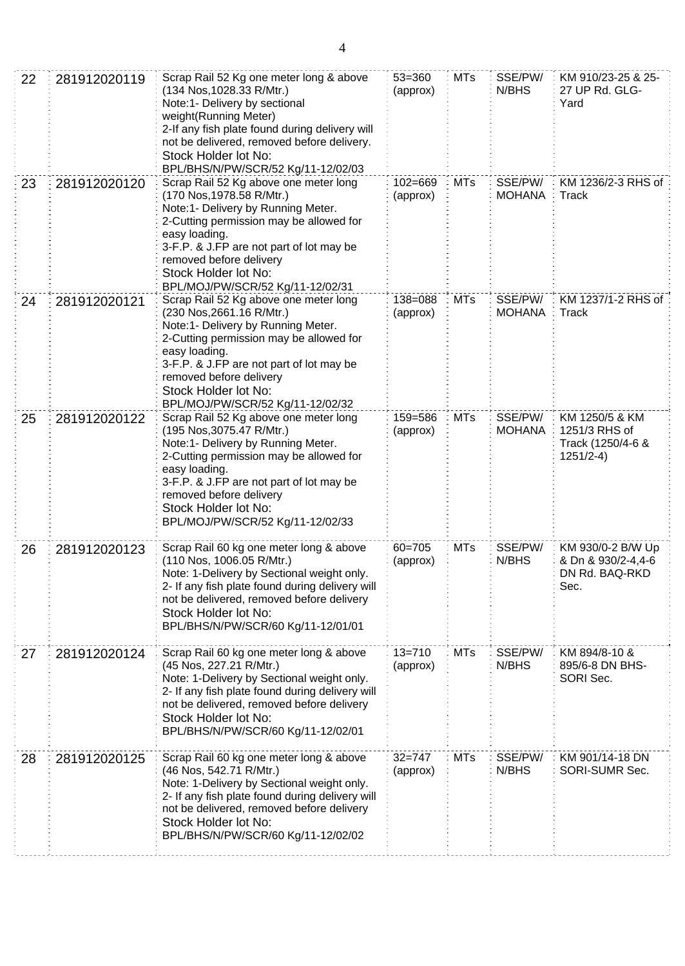| 22 | 281912020119 | Scrap Rail 52 Kg one meter long & above<br>$53 = 360$<br>(134 Nos, 1028.33 R/Mtr.)<br>(approx)<br>Note:1- Delivery by sectional<br>weight(Running Meter)<br>2-If any fish plate found during delivery will<br>not be delivered, removed before delivery.<br>Stock Holder lot No:<br>BPL/BHS/N/PW/SCR/52 Kg/11-12/02/03             |                        | <b>MTs</b> | SSE/PW/<br>N/BHS         | KM 910/23-25 & 25-<br>27 UP Rd. GLG-<br>Yard                        |
|----|--------------|------------------------------------------------------------------------------------------------------------------------------------------------------------------------------------------------------------------------------------------------------------------------------------------------------------------------------------|------------------------|------------|--------------------------|---------------------------------------------------------------------|
| 23 | 281912020120 | Scrap Rail 52 Kg above one meter long<br>$102 = 669$<br>(170 Nos, 1978.58 R/Mtr.)<br>(approx)<br>Note:1- Delivery by Running Meter.<br>2-Cutting permission may be allowed for<br>easy loading.<br>3-F.P. & J.FP are not part of lot may be<br>removed before delivery<br>Stock Holder lot No:<br>BPL/MOJ/PW/SCR/52 Kg/11-12/02/31 |                        | MTs        | SSE/PW/<br><b>MOHANA</b> | KM 1236/2-3 RHS of<br>Track                                         |
| 24 | 281912020121 | Scrap Rail 52 Kg above one meter long<br>138=088<br>(230 Nos, 2661.16 R/Mtr.)<br>(approx)<br>Note:1- Delivery by Running Meter.<br>2-Cutting permission may be allowed for<br>easy loading.<br>3-F.P. & J.FP are not part of lot may be<br>removed before delivery<br>Stock Holder lot No:<br>BPL/MOJ/PW/SCR/52 Kg/11-12/02/32     |                        | <b>MTs</b> | SSE/PW/<br><b>MOHANA</b> | KM 1237/1-2 RHS of<br>Track                                         |
| 25 | 281912020122 | Scrap Rail 52 Kg above one meter long<br>(195 Nos, 3075.47 R/Mtr.)<br>Note:1- Delivery by Running Meter.<br>2-Cutting permission may be allowed for<br>easy loading.<br>3-F.P. & J.FP are not part of lot may be<br>removed before delivery<br>Stock Holder lot No:<br>BPL/MOJ/PW/SCR/52 Kg/11-12/02/33                            | 159=586<br>(approx)    | <b>MTs</b> | SSE/PW/<br><b>MOHANA</b> | KM 1250/5 & KM<br>1251/3 RHS of<br>Track (1250/4-6 &<br>$1251/2-4)$ |
| 26 | 281912020123 | Scrap Rail 60 kg one meter long & above<br>(110 Nos, 1006.05 R/Mtr.)<br>Note: 1-Delivery by Sectional weight only.<br>2- If any fish plate found during delivery will<br>not be delivered, removed before delivery<br>Stock Holder lot No:<br>BPL/BHS/N/PW/SCR/60 Kg/11-12/01/01                                                   | $60 = 705$<br>(approx) | <b>MTs</b> | SSE/PW/<br>N/BHS         | KM 930/0-2 B/W Up<br>& Dn & 930/2-4,4-6<br>DN Rd. BAQ-RKD<br>Sec.   |
| 27 | 281912020124 | Scrap Rail 60 kg one meter long & above<br>(45 Nos, 227.21 R/Mtr.)<br>Note: 1-Delivery by Sectional weight only.<br>2- If any fish plate found during delivery will<br>not be delivered, removed before delivery<br>Stock Holder lot No:<br>BPL/BHS/N/PW/SCR/60 Kg/11-12/02/01                                                     | $13 = 710$<br>(approx) | <b>MTs</b> | SSE/PW/<br>N/BHS         | KM 894/8-10 &<br>895/6-8 DN BHS-<br>SORI Sec.                       |
| 28 | 281912020125 | Scrap Rail 60 kg one meter long & above<br>(46 Nos, 542.71 R/Mtr.)<br>Note: 1-Delivery by Sectional weight only.<br>2- If any fish plate found during delivery will<br>not be delivered, removed before delivery<br>Stock Holder lot No:<br>BPL/BHS/N/PW/SCR/60 Kg/11-12/02/02                                                     | $32 = 747$<br>(approx) | <b>MTs</b> | SSE/PW/<br>N/BHS         | KM 901/14-18 DN<br>SORI-SUMR Sec.                                   |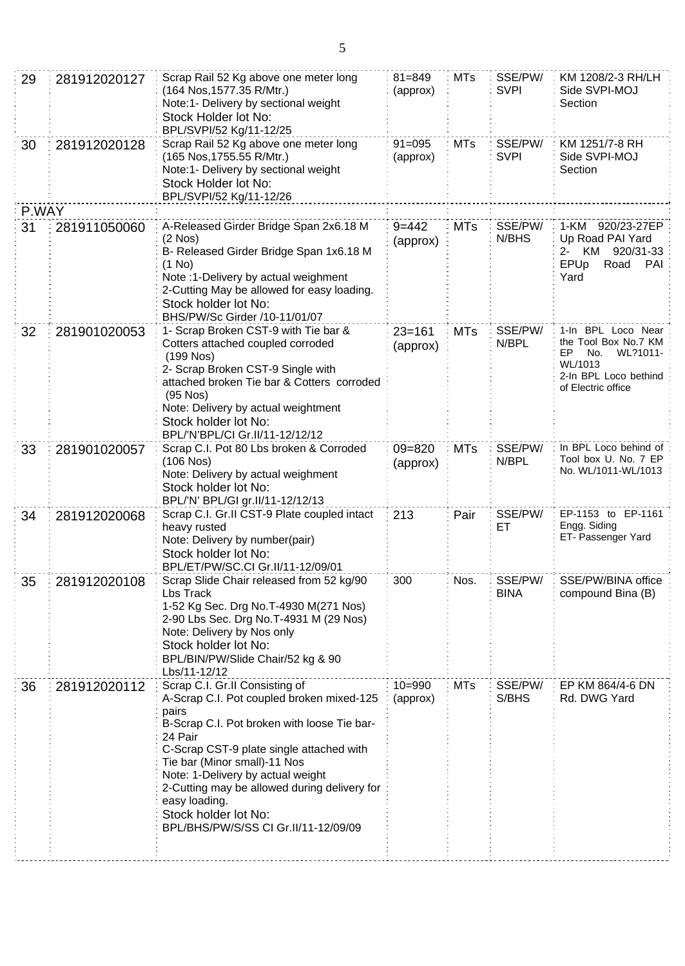| 29    | 281912020127 | Scrap Rail 52 Kg above one meter long<br>(164 Nos, 1577.35 R/Mtr.)<br>Note:1- Delivery by sectional weight<br>Stock Holder lot No:<br>BPL/SVPI/52 Kg/11-12/25                                                                                                                                                                                                                                    | $81 = 849$<br>(approx) | <b>MTs</b> | SSE/PW/<br><b>SVPI</b> | KM 1208/2-3 RH/LH<br>Side SVPI-MOJ<br>Section                                                                                 |
|-------|--------------|--------------------------------------------------------------------------------------------------------------------------------------------------------------------------------------------------------------------------------------------------------------------------------------------------------------------------------------------------------------------------------------------------|------------------------|------------|------------------------|-------------------------------------------------------------------------------------------------------------------------------|
| 30    | 281912020128 | Scrap Rail 52 Kg above one meter long<br>(165 Nos, 1755.55 R/Mtr.)<br>Note:1- Delivery by sectional weight<br>Stock Holder lot No:<br>BPL/SVPI/52 Kg/11-12/26                                                                                                                                                                                                                                    | $91 = 095$<br>(approx) | <b>MTs</b> | SSE/PW/<br><b>SVPI</b> | KM 1251/7-8 RH<br>Side SVPI-MOJ<br>Section                                                                                    |
| P.WAY |              |                                                                                                                                                                                                                                                                                                                                                                                                  |                        |            |                        |                                                                                                                               |
| 31    | 281911050060 | A-Released Girder Bridge Span 2x6.18 M<br>$9 = 442$<br>(2 Nos)<br>(approx)<br>B- Released Girder Bridge Span 1x6.18 M<br>$(1$ No)<br>Note :1-Delivery by actual weighment<br>2-Cutting May be allowed for easy loading.<br>Stock holder lot No:<br>BHS/PW/Sc Girder /10-11/01/07                                                                                                                 |                        | <b>MTs</b> | SSE/PW/<br>N/BHS       | 1-KM 920/23-27EP<br>Up Road PAI Yard<br>KM 920/31-33<br>2-<br>EPUp<br>Road<br>PAI<br>Yard                                     |
| 32    | 281901020053 | 1- Scrap Broken CST-9 with Tie bar &<br>Cotters attached coupled corroded<br>$(199$ Nos)<br>2- Scrap Broken CST-9 Single with<br>attached broken Tie bar & Cotters corroded<br>$(95$ Nos)<br>Note: Delivery by actual weightment<br>Stock holder lot No:<br>BPL/'N'BPL/CI Gr.II/11-12/12/12                                                                                                      | $23 = 161$<br>(approx) | <b>MTs</b> | SSE/PW/<br>N/BPL       | 1-In BPL Loco Near<br>the Tool Box No.7 KM<br>No.<br>WL?1011-<br>EP<br>WL/1013<br>2-In BPL Loco bethind<br>of Electric office |
| 33    | 281901020057 | Scrap C.I. Pot 80 Lbs broken & Corroded<br>(106 Nos)<br>Note: Delivery by actual weighment<br>Stock holder lot No:<br>BPL/'N' BPL/GI gr.II/11-12/12/13                                                                                                                                                                                                                                           | $09 = 820$<br>(approx) | <b>MTs</b> | SSE/PW/<br>N/BPL       | In BPL Loco behind of<br>Tool box U. No. 7 EP<br>No. WL/1011-WL/1013                                                          |
| 34    | 281912020068 | Scrap C.I. Gr.II CST-9 Plate coupled intact<br>heavy rusted<br>Note: Delivery by number(pair)<br>Stock holder lot No:<br>BPL/ET/PW/SC.CI Gr.II/11-12/09/01                                                                                                                                                                                                                                       | 213                    | Pair       | SSE/PW/<br>ЕT          | EP-1153 to EP-1161<br>Engg. Siding<br>ET- Passenger Yard                                                                      |
| 35    | 281912020108 | Scrap Slide Chair released from 52 kg/90<br>Lbs Track<br>1-52 Kg Sec. Drg No.T-4930 M(271 Nos)<br>2-90 Lbs Sec. Drg No.T-4931 M (29 Nos)<br>Note: Delivery by Nos only<br>Stock holder lot No:<br>BPL/BIN/PW/Slide Chair/52 kg & 90<br>Lbs/11-12/12                                                                                                                                              | 300                    | Nos.       | SSE/PW/<br><b>BINA</b> | SSE/PW/BINA office<br>compound Bina (B)                                                                                       |
| 36    | 281912020112 | Scrap C.I. Gr.II Consisting of<br>A-Scrap C.I. Pot coupled broken mixed-125<br>pairs<br>B-Scrap C.I. Pot broken with loose Tie bar-<br>24 Pair<br>C-Scrap CST-9 plate single attached with<br>Tie bar (Minor small)-11 Nos<br>Note: 1-Delivery by actual weight<br>2-Cutting may be allowed during delivery for<br>easy loading.<br>Stock holder lot No:<br>BPL/BHS/PW/S/SS CI Gr.II/11-12/09/09 | $10 = 990$<br>(approx) | <b>MTs</b> | SSE/PW/<br>S/BHS       | EP KM 864/4-6 DN<br>Rd. DWG Yard                                                                                              |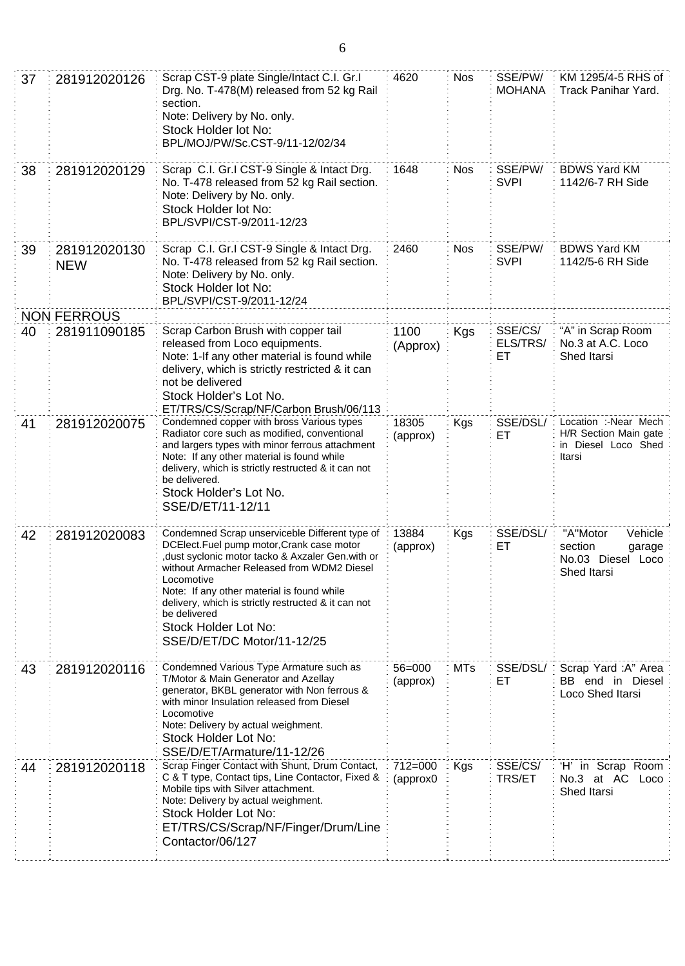| 37 | 281912020126                                                                                                                                                                                                                                                                     | Scrap CST-9 plate Single/Intact C.I. Gr.I<br>Drg. No. T-478(M) released from 52 kg Rail<br>section.<br>Note: Delivery by No. only.<br>Stock Holder lot No:<br>BPL/MOJ/PW/Sc.CST-9/11-12/02/34                                                                                                                                                                                          | 4620                   | <b>Nos</b> | SSE/PW/<br><b>MOHANA</b>  | KM 1295/4-5 RHS of<br>Track Panihar Yard.                                      |
|----|----------------------------------------------------------------------------------------------------------------------------------------------------------------------------------------------------------------------------------------------------------------------------------|----------------------------------------------------------------------------------------------------------------------------------------------------------------------------------------------------------------------------------------------------------------------------------------------------------------------------------------------------------------------------------------|------------------------|------------|---------------------------|--------------------------------------------------------------------------------|
| 38 | 281912020129                                                                                                                                                                                                                                                                     | Scrap C.I. Gr.I CST-9 Single & Intact Drg.<br>No. T-478 released from 52 kg Rail section.<br>Note: Delivery by No. only.<br>Stock Holder lot No:<br>BPL/SVPI/CST-9/2011-12/23                                                                                                                                                                                                          | 1648                   | <b>Nos</b> | SSE/PW/<br><b>SVPI</b>    | <b>BDWS Yard KM</b><br>1142/6-7 RH Side                                        |
| 39 | 281912020130<br><b>NEW</b>                                                                                                                                                                                                                                                       | Scrap C.I. Gr.I CST-9 Single & Intact Drg.<br>No. T-478 released from 52 kg Rail section.<br>Note: Delivery by No. only.<br>Stock Holder lot No:<br>BPL/SVPI/CST-9/2011-12/24                                                                                                                                                                                                          | 2460                   | <b>Nos</b> | SSE/PW/<br><b>SVPI</b>    | <b>BDWS Yard KM</b><br>1142/5-6 RH Side                                        |
|    | <b>NON FERROUS</b>                                                                                                                                                                                                                                                               |                                                                                                                                                                                                                                                                                                                                                                                        |                        |            |                           |                                                                                |
| 40 | Scrap Carbon Brush with copper tail<br>281911090185<br>released from Loco equipments.<br>Note: 1-If any other material is found while<br>delivery, which is strictly restricted & it can<br>not be delivered<br>Stock Holder's Lot No.<br>ET/TRS/CS/Scrap/NF/Carbon Brush/06/113 |                                                                                                                                                                                                                                                                                                                                                                                        | 1100<br>(Approx)       | Kgs        | SSE/CS/<br>ELS/TRS/<br>EТ | "A" in Scrap Room<br>No.3 at A.C. Loco<br>Shed Itarsi                          |
| 41 | 281912020075                                                                                                                                                                                                                                                                     | Condemned copper with bross Various types<br>Radiator core such as modified, conventional<br>and largers types with minor ferrous attachment<br>Note: If any other material is found while<br>delivery, which is strictly restructed & it can not<br>be delivered.<br>Stock Holder's Lot No.<br>SSE/D/ET/11-12/11                                                                      | 18305<br>(approx)      | Kgs        | SSE/DSL/<br>ЕT            | Location :-Near Mech<br>H/R Section Main gate<br>in Diesel Loco Shed<br>Itarsi |
| 42 | 281912020083                                                                                                                                                                                                                                                                     | Condemned Scrap unserviceble Different type of<br>DCElect.Fuel pump motor, Crank case motor<br>dust syclonic motor tacko & Axzaler Gen.with or,<br>without Armacher Released from WDM2 Diesel<br>Locomotive<br>Note: If any other material is found while<br>delivery, which is strictly restructed & it can not<br>be delivered<br>Stock Holder Lot No:<br>SSE/D/ET/DC Motor/11-12/25 | 13884<br>(approx)      | Kgs        | SSE/DSL/<br>ET            | "A"Motor<br>Vehicle<br>section<br>garage<br>No.03 Diesel Loco<br>Shed Itarsi   |
| 43 | 281912020116                                                                                                                                                                                                                                                                     | Condemned Various Type Armature such as<br>T/Motor & Main Generator and Azellay<br>generator, BKBL generator with Non ferrous &<br>with minor Insulation released from Diesel<br>Locomotive<br>Note: Delivery by actual weighment.<br>Stock Holder Lot No:<br>SSE/D/ET/Armature/11-12/26                                                                                               | $56 = 000$<br>(approx) | <b>MTs</b> | SSE/DSL/<br>ET            | Scrap Yard: A" Area<br>BB end in Diesel<br>Loco Shed Itarsi                    |
| 44 | 281912020118                                                                                                                                                                                                                                                                     | Scrap Finger Contact with Shunt, Drum Contact,<br>C & T type, Contact tips, Line Contactor, Fixed &<br>Mobile tips with Silver attachment.<br>Note: Delivery by actual weighment.<br>Stock Holder Lot No:<br>ET/TRS/CS/Scrap/NF/Finger/Drum/Line<br>Contactor/06/127                                                                                                                   | 712=000<br>(approx0    | Kgs        | SSE/CS/<br><b>TRS/ET</b>  | 'H' in Scrap Room<br>No.3 at AC<br>Loco<br>Shed Itarsi                         |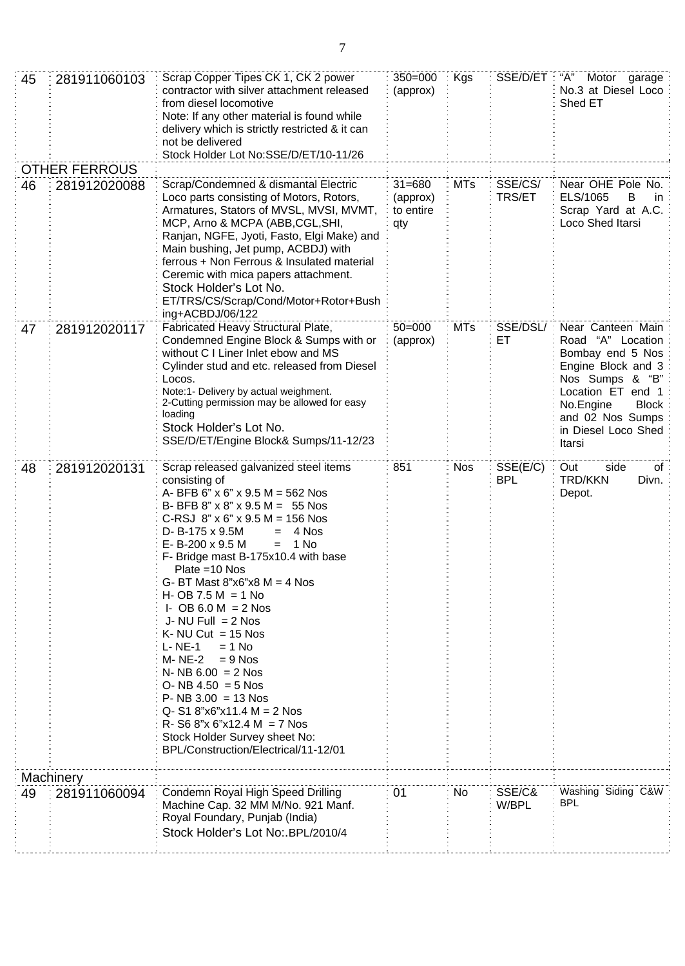| 45 | 281911060103         | Scrap Copper Tipes CK 1, CK 2 power<br>contractor with silver attachment released<br>from diesel locomotive<br>Note: If any other material is found while<br>delivery which is strictly restricted & it can<br>not be delivered<br>Stock Holder Lot No:SSE/D/ET/10-11/26                                                                                                                                                                                                                                                                                                                                                                                                                                                                           | $350 = 000$<br>(approx) | Kgs        | SSE/D/ET               | "А"<br>Motor garage<br>No.3 at Diesel Loco<br>Shed ET                                                                                                                                               |
|----|----------------------|----------------------------------------------------------------------------------------------------------------------------------------------------------------------------------------------------------------------------------------------------------------------------------------------------------------------------------------------------------------------------------------------------------------------------------------------------------------------------------------------------------------------------------------------------------------------------------------------------------------------------------------------------------------------------------------------------------------------------------------------------|-------------------------|------------|------------------------|-----------------------------------------------------------------------------------------------------------------------------------------------------------------------------------------------------|
|    | <b>OTHER FERROUS</b> |                                                                                                                                                                                                                                                                                                                                                                                                                                                                                                                                                                                                                                                                                                                                                    |                         |            |                        |                                                                                                                                                                                                     |
| 46 | 281912020088         | Scrap/Condemned & dismantal Electric<br>$31 = 680$<br>Loco parts consisting of Motors, Rotors,<br>(approx)<br>Armatures, Stators of MVSL, MVSI, MVMT,<br>to entire<br>MCP, Arno & MCPA (ABB,CGL,SHI,<br>qty<br>Ranjan, NGFE, Jyoti, Fasto, Elgi Make) and<br>Main bushing, Jet pump, ACBDJ) with<br>ferrous + Non Ferrous & Insulated material<br>Ceremic with mica papers attachment.<br>Stock Holder's Lot No.<br>ET/TRS/CS/Scrap/Cond/Motor+Rotor+Bush<br>ing+ACBDJ/06/122                                                                                                                                                                                                                                                                      |                         | <b>MTs</b> | SSE/CS/<br>TRS/ET      | Near OHE Pole No.<br>ELS/1065<br>B<br>in.<br>Scrap Yard at A.C.<br>Loco Shed Itarsi                                                                                                                 |
| 47 | 281912020117         | Fabricated Heavy Structural Plate,<br>Condemned Engine Block & Sumps with or<br>without C I Liner Inlet ebow and MS<br>Cylinder stud and etc. released from Diesel<br>Locos.<br>Note:1- Delivery by actual weighment.<br>2-Cutting permission may be allowed for easy<br>loading<br>Stock Holder's Lot No.<br>SSE/D/ET/Engine Block& Sumps/11-12/23                                                                                                                                                                                                                                                                                                                                                                                                | $50 = 000$<br>(approx)  | <b>MTs</b> | SSE/DSL/<br>ЕT         | Near Canteen Main<br>Road "A" Location<br>Bombay end 5 Nos<br>Engine Block and 3<br>Nos Sumps & "B"<br>Location ET end 1<br>No.Engine<br>Block<br>and 02 Nos Sumps<br>in Diesel Loco Shed<br>Itarsi |
| 48 | 281912020131         | Scrap released galvanized steel items<br>consisting of<br>A- BFB 6" $\times$ 6" $\times$ 9.5 M = 562 Nos<br>B- BFB 8" $\times$ 8" $\times$ 9.5 M = 55 Nos<br>C-RSJ $8" \times 6" \times 9.5 M = 156$ Nos<br>D- B-175 x 9.5M<br>4 Nos<br>$=$<br>E-B-200 x 9.5 M<br>1 No<br>$=$<br>F- Bridge mast B-175x10.4 with base<br>Plate = 10 Nos<br>G- BT Mast $8"x6"x8 M = 4$ Nos<br>$H - OB$ 7.5 M = 1 No<br>I- OB 6.0 M = $2$ Nos<br>J- NU Full $= 2$ Nos<br>K- NU Cut = $15$ Nos<br>$L - NE-1$<br>$= 1$ No<br>M- NE-2<br>$= 9$ Nos<br>$N- NB 6.00 = 2 Nos$<br>$O- NB 4.50 = 5$ Nos<br>$P - NB 3.00 = 13$ Nos<br>$Q - S1 8"x6"x11.4 M = 2 Nos$<br>$R - S6 8"x 6"x12.4 M = 7 Nos$<br>Stock Holder Survey sheet No:<br>BPL/Construction/Electrical/11-12/01 | 851                     | <b>Nos</b> | SSE(E/C)<br><b>BPL</b> | side<br>Out<br>ot<br><b>TRD/KKN</b><br>Divn.<br>Depot.                                                                                                                                              |
|    | Machinery            |                                                                                                                                                                                                                                                                                                                                                                                                                                                                                                                                                                                                                                                                                                                                                    |                         |            |                        |                                                                                                                                                                                                     |
| 49 | 281911060094         | Condemn Royal High Speed Drilling<br>Machine Cap. 32 MM M/No. 921 Manf.<br>Royal Foundary, Punjab (India)<br>Stock Holder's Lot No:.BPL/2010/4                                                                                                                                                                                                                                                                                                                                                                                                                                                                                                                                                                                                     | 01                      | No         | SSE/C&<br>W/BPL        | Washing Siding C&W<br><b>BPL</b>                                                                                                                                                                    |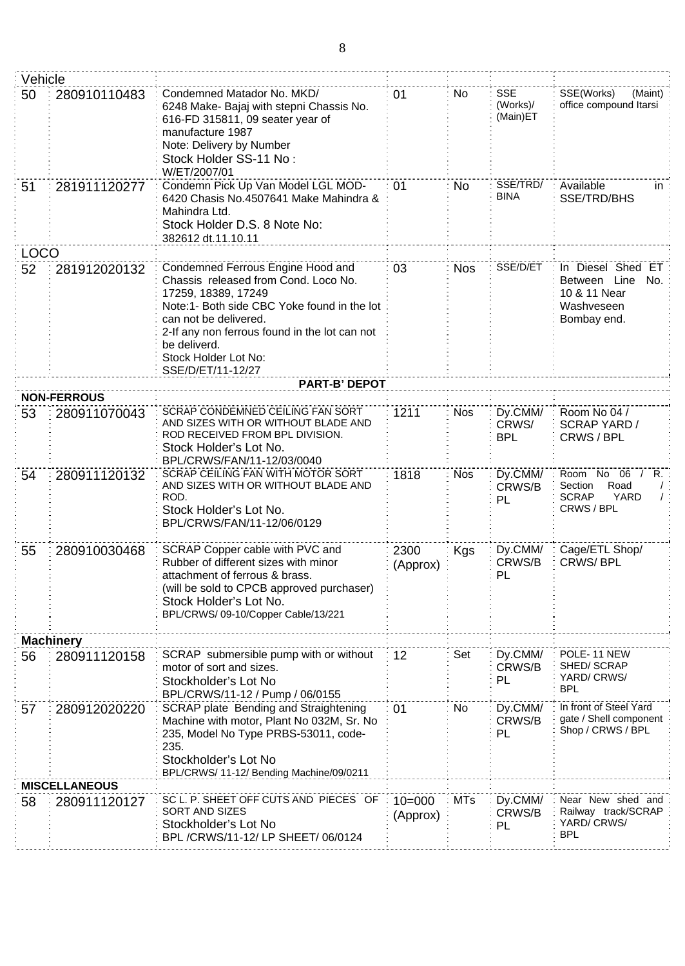| Vehicle                                                                                                                                                                                                                                                                                                      |                      |                                                                                                                                                                                                                        |                        |                                    |                                                                                       |                                                                          |
|--------------------------------------------------------------------------------------------------------------------------------------------------------------------------------------------------------------------------------------------------------------------------------------------------------------|----------------------|------------------------------------------------------------------------------------------------------------------------------------------------------------------------------------------------------------------------|------------------------|------------------------------------|---------------------------------------------------------------------------------------|--------------------------------------------------------------------------|
| Condemned Matador No. MKD/<br>50<br>280910110483<br>6248 Make- Bajaj with stepni Chassis No.<br>616-FD 315811, 09 seater year of<br>manufacture 1987<br>Note: Delivery by Number<br>Stock Holder SS-11 No:<br>W/ET/2007/01                                                                                   |                      | 01                                                                                                                                                                                                                     | No                     | <b>SSE</b><br>(Works)/<br>(Main)ET | SSE(Works)<br>(Maint)<br>office compound Itarsi                                       |                                                                          |
| 51                                                                                                                                                                                                                                                                                                           | 281911120277         | Condemn Pick Up Van Model LGL MOD-<br>01<br>6420 Chasis No.4507641 Make Mahindra &<br>Mahindra Ltd.<br>Stock Holder D.S. 8 Note No:<br>382612 dt.11.10.11                                                              |                        | No                                 | SSE/TRD/<br><b>BINA</b>                                                               | Available<br>in<br>SSE/TRD/BHS                                           |
| <b>LOCO</b>                                                                                                                                                                                                                                                                                                  |                      |                                                                                                                                                                                                                        |                        |                                    |                                                                                       |                                                                          |
| Condemned Ferrous Engine Hood and<br>52<br>281912020132<br>Chassis released from Cond. Loco No.<br>17259, 18389, 17249<br>Note:1- Both side CBC Yoke found in the lot<br>can not be delivered.<br>2-If any non ferrous found in the lot can not<br>be deliverd.<br>Stock Holder Lot No:<br>SSE/D/ET/11-12/27 |                      | 03                                                                                                                                                                                                                     | <b>Nos</b>             | SSE/D/ET                           | In Diesel Shed ET<br>Between Line<br>No.<br>10 & 11 Near<br>Washveseen<br>Bombay end. |                                                                          |
|                                                                                                                                                                                                                                                                                                              |                      | <b>PART-B' DEPOT</b>                                                                                                                                                                                                   |                        |                                    |                                                                                       |                                                                          |
|                                                                                                                                                                                                                                                                                                              | <b>NON-FERROUS</b>   |                                                                                                                                                                                                                        |                        |                                    |                                                                                       |                                                                          |
| 53                                                                                                                                                                                                                                                                                                           | 280911070043         | <b>SCRAP CONDEMNED CEILING FAN SORT</b><br>AND SIZES WITH OR WITHOUT BLADE AND<br>ROD RECEIVED FROM BPL DIVISION.<br>Stock Holder's Lot No.<br>BPL/CRWS/FAN/11-12/03/0040                                              | 1211                   | <b>Nos</b>                         | Dy.CMM/<br>CRWS/<br><b>BPL</b>                                                        | Room No 04 /<br><b>SCRAP YARD/</b><br>CRWS / BPL                         |
| 54                                                                                                                                                                                                                                                                                                           | 280911120132         | SCRAP CEILING FAN WITH MOTOR SORT<br>AND SIZES WITH OR WITHOUT BLADE AND<br>ROD.<br>Stock Holder's Lot No.<br>BPL/CRWS/FAN/11-12/06/0129                                                                               | 1818                   | <b>Nos</b>                         | Dy.CMM/<br>CRWS/B<br>PL                                                               | Room No 06 / R.<br>Road<br>Section<br><b>SCRAP</b><br>YARD<br>CRWS / BPL |
| 55                                                                                                                                                                                                                                                                                                           | 280910030468         | SCRAP Copper cable with PVC and<br>Rubber of different sizes with minor<br>attachment of ferrous & brass.<br>(will be sold to CPCB approved purchaser)<br>Stock Holder's Lot No.<br>BPL/CRWS/09-10/Copper Cable/13/221 | 2300<br>(Approx)       | Kgs                                | Dy.CMM/<br>CRWS/B<br>PL                                                               | Cage/ETL Shop/<br>CRWS/BPL                                               |
|                                                                                                                                                                                                                                                                                                              | <b>Machinery</b>     |                                                                                                                                                                                                                        |                        |                                    |                                                                                       |                                                                          |
| 56                                                                                                                                                                                                                                                                                                           | 280911120158         | SCRAP submersible pump with or without<br>motor of sort and sizes.<br>Stockholder's Lot No<br>BPL/CRWS/11-12 / Pump / 06/0155                                                                                          | 12                     | Set                                | Dy.CMM/<br>CRWS/B<br>PL                                                               | POLE-11 NEW<br>SHED/SCRAP<br>YARD/ CRWS/<br><b>BPL</b>                   |
| 57                                                                                                                                                                                                                                                                                                           | 280912020220         | SCRAP plate Bending and Straightening<br>Machine with motor, Plant No 032M, Sr. No<br>235, Model No Type PRBS-53011, code-<br>235.<br>Stockholder's Lot No<br>BPL/CRWS/ 11-12/ Bending Machine/09/0211                 |                        | No.                                | Dy.CMM/<br>CRWS/B<br>PL                                                               | In front of Steel Yard<br>gate / Shell component<br>Shop / CRWS / BPL    |
|                                                                                                                                                                                                                                                                                                              | <b>MISCELLANEOUS</b> |                                                                                                                                                                                                                        |                        |                                    |                                                                                       |                                                                          |
| 58                                                                                                                                                                                                                                                                                                           | 280911120127         | SC L. P. SHEET OFF CUTS AND PIECES OF<br>SORT AND SIZES<br>Stockholder's Lot No<br>BPL /CRWS/11-12/ LP SHEET/ 06/0124                                                                                                  | $10 = 000$<br>(Approx) | <b>MTs</b>                         | Dy.CMM/<br>CRWS/B<br>PL                                                               | Near New shed and<br>Railway track/SCRAP<br>YARD/ CRWS/<br><b>BPL</b>    |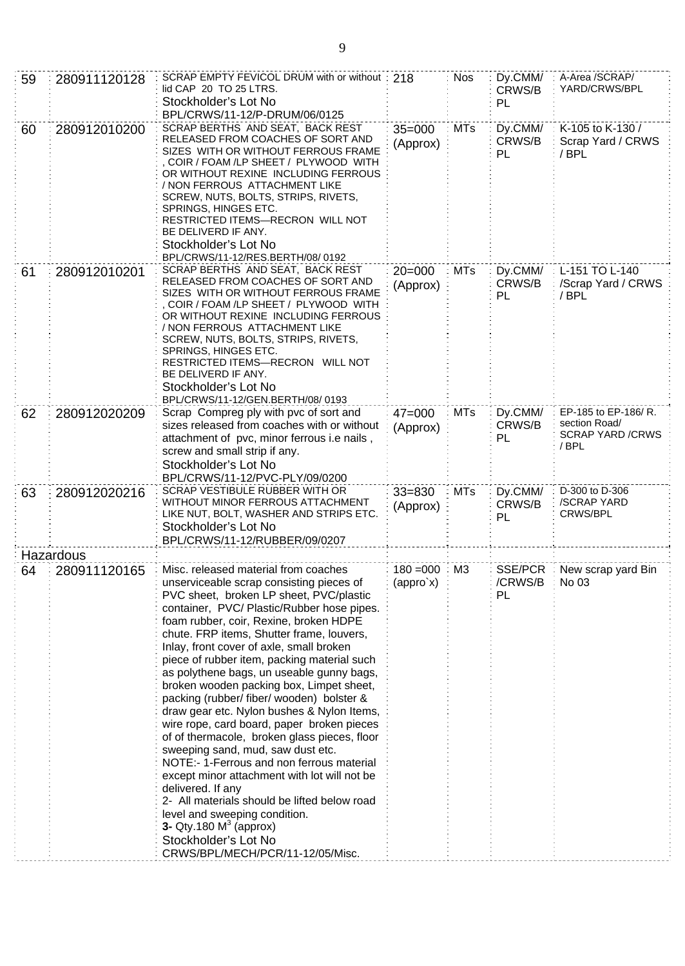| 59 | 280911120128               | SCRAP EMPTY FEVICOL DRUM with or without: 218<br>lid CAP 20 TO 25 LTRS.<br>Stockholder's Lot No<br>BPL/CRWS/11-12/P-DRUM/06/0125                                                                                                                                                                                                                                                                                                                                                                                                                                                                                                                                                                                                                                                                                                                                                                                                                                             |                                               | <b>Nos</b> | Dy.CMM/<br>CRWS/B<br>PL  | A-Area /SCRAP/<br>YARD/CRWS/BPL                                          |
|----|----------------------------|------------------------------------------------------------------------------------------------------------------------------------------------------------------------------------------------------------------------------------------------------------------------------------------------------------------------------------------------------------------------------------------------------------------------------------------------------------------------------------------------------------------------------------------------------------------------------------------------------------------------------------------------------------------------------------------------------------------------------------------------------------------------------------------------------------------------------------------------------------------------------------------------------------------------------------------------------------------------------|-----------------------------------------------|------------|--------------------------|--------------------------------------------------------------------------|
| 60 | 280912010200               | SCRAP BERTHS AND SEAT, BACK REST<br>$35 = 000$<br>RELEASED FROM COACHES OF SORT AND<br>(Approx)<br>SIZES WITH OR WITHOUT FERROUS FRAME<br>, COIR / FOAM /LP SHEET / PLYWOOD WITH<br>OR WITHOUT REXINE INCLUDING FERROUS<br>/ NON FERROUS ATTACHMENT LIKE<br>SCREW, NUTS, BOLTS, STRIPS, RIVETS,<br>SPRINGS, HINGES ETC.<br>RESTRICTED ITEMS-RECRON WILL NOT<br>BE DELIVERD IF ANY.<br>Stockholder's Lot No<br>BPL/CRWS/11-12/RES.BERTH/08/0192                                                                                                                                                                                                                                                                                                                                                                                                                                                                                                                               |                                               | <b>MTs</b> | Dy.CMM/<br>CRWS/B<br>PL  | K-105 to K-130 /<br>Scrap Yard / CRWS<br>/BPL                            |
| 61 | 280912010201               | SCRAP BERTHS AND SEAT, BACK REST<br>$20 = 000$<br>RELEASED FROM COACHES OF SORT AND<br>(Approx)<br>SIZES WITH OR WITHOUT FERROUS FRAME<br>COIR / FOAM /LP SHEET / PLYWOOD WITH<br>OR WITHOUT REXINE INCLUDING FERROUS<br>/ NON FERROUS ATTACHMENT LIKE<br>SCREW, NUTS, BOLTS, STRIPS, RIVETS,<br>SPRINGS, HINGES ETC.<br>RESTRICTED ITEMS-RECRON WILL NOT<br>BE DELIVERD IF ANY.<br>Stockholder's Lot No<br>BPL/CRWS/11-12/GEN.BERTH/08/0193                                                                                                                                                                                                                                                                                                                                                                                                                                                                                                                                 |                                               | <b>MTs</b> | Dy.CMM/<br>CRWS/B<br>PL  | L-151 TO L-140<br>/Scrap Yard / CRWS<br>/ BPL                            |
| 62 | 280912020209               | Scrap Compreg ply with pvc of sort and<br>sizes released from coaches with or without<br>attachment of pvc, minor ferrous i.e nails,<br>screw and small strip if any.<br>Stockholder's Lot No<br>BPL/CRWS/11-12/PVC-PLY/09/0200                                                                                                                                                                                                                                                                                                                                                                                                                                                                                                                                                                                                                                                                                                                                              | $47 = 000$<br>(Approx)                        | <b>MTs</b> | Dy.CMM/<br>CRWS/B<br>PL  | EP-185 to EP-186/R.<br>section Road/<br><b>SCRAP YARD /CRWS</b><br>/ BPL |
| 63 | 280912020216               | SCRAP VESTIBULE RUBBER WITH OR<br>WITHOUT MINOR FERROUS ATTACHMENT<br>LIKE NUT, BOLT, WASHER AND STRIPS ETC.<br>Stockholder's Lot No<br>BPL/CRWS/11-12/RUBBER/09/0207                                                                                                                                                                                                                                                                                                                                                                                                                                                                                                                                                                                                                                                                                                                                                                                                        | $33 = 830$<br>(Approx)                        | <b>MTs</b> | Dy.CMM/<br>CRWS/B<br>PL  | D-300 to D-306<br>/SCRAP YARD<br><b>CRWS/BPL</b>                         |
|    | Hazardous                  |                                                                                                                                                                                                                                                                                                                                                                                                                                                                                                                                                                                                                                                                                                                                                                                                                                                                                                                                                                              |                                               |            |                          |                                                                          |
| 64 | $\frac{1}{2}$ 280911120165 | Misc. released material from coaches<br>unserviceable scrap consisting pieces of<br>PVC sheet, broken LP sheet, PVC/plastic<br>container, PVC/Plastic/Rubber hose pipes.<br>foam rubber, coir, Rexine, broken HDPE<br>chute. FRP items, Shutter frame, louvers,<br>Inlay, front cover of axle, small broken<br>piece of rubber item, packing material such<br>as polythene bags, un useable gunny bags,<br>broken wooden packing box, Limpet sheet,<br>packing (rubber/ fiber/ wooden) bolster &<br>draw gear etc. Nylon bushes & Nylon Items,<br>wire rope, card board, paper broken pieces<br>of of thermacole, broken glass pieces, floor<br>sweeping sand, mud, saw dust etc.<br>NOTE:- 1-Ferrous and non ferrous material<br>except minor attachment with lot will not be<br>delivered. If any<br>2- All materials should be lifted below road<br>level and sweeping condition.<br>3- Qty.180 $M3$ (approx)<br>Stockholder's Lot No<br>CRWS/BPL/MECH/PCR/11-12/05/Misc. | $180 = 000$ M3<br>$\langle$ appro`x $\rangle$ |            | SSE/PCR<br>/CRWS/B<br>PL | New scrap yard Bin<br>No 03                                              |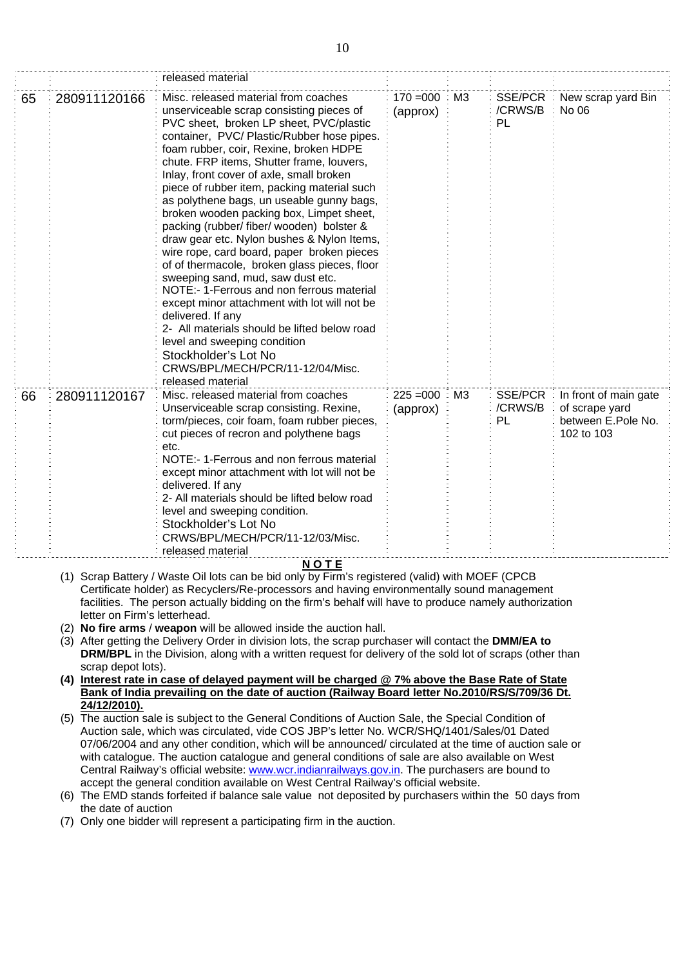|    |                              | released material                                                                                                                                                                                                                                                                                                                                                                                                                                                                                                                                                                                                                                                                                                                                                                                                                                                                                                                                                     |                         |    |                                 |                                                                             |
|----|------------------------------|-----------------------------------------------------------------------------------------------------------------------------------------------------------------------------------------------------------------------------------------------------------------------------------------------------------------------------------------------------------------------------------------------------------------------------------------------------------------------------------------------------------------------------------------------------------------------------------------------------------------------------------------------------------------------------------------------------------------------------------------------------------------------------------------------------------------------------------------------------------------------------------------------------------------------------------------------------------------------|-------------------------|----|---------------------------------|-----------------------------------------------------------------------------|
| 65 | 280911120166                 | Misc. released material from coaches<br>unserviceable scrap consisting pieces of<br>PVC sheet, broken LP sheet, PVC/plastic<br>container, PVC/ Plastic/Rubber hose pipes.<br>foam rubber, coir, Rexine, broken HDPE<br>chute. FRP items, Shutter frame, louvers,<br>Inlay, front cover of axle, small broken<br>piece of rubber item, packing material such<br>as polythene bags, un useable gunny bags,<br>broken wooden packing box, Limpet sheet,<br>packing (rubber/ fiber/ wooden) bolster &<br>draw gear etc. Nylon bushes & Nylon Items,<br>wire rope, card board, paper broken pieces<br>of of thermacole, broken glass pieces, floor<br>sweeping sand, mud, saw dust etc.<br>NOTE:- 1-Ferrous and non ferrous material<br>except minor attachment with lot will not be<br>delivered. If any<br>2- All materials should be lifted below road<br>level and sweeping condition<br>Stockholder's Lot No<br>CRWS/BPL/MECH/PCR/11-12/04/Misc.<br>released material | $170 = 000$<br>(approx) | M3 | <b>SSE/PCR</b><br>/CRWS/B<br>PL | New scrap yard Bin<br>No 06                                                 |
| 66 | 280911120167                 | Misc. released material from coaches<br>Unserviceable scrap consisting. Rexine,<br>torm/pieces, coir foam, foam rubber pieces,<br>cut pieces of recron and polythene bags<br>etc.<br>NOTE:- 1-Ferrous and non ferrous material<br>except minor attachment with lot will not be<br>delivered. If any<br>2- All materials should be lifted below road<br>level and sweeping condition.<br>Stockholder's Lot No<br>CRWS/BPL/MECH/PCR/11-12/03/Misc.<br>released material                                                                                                                                                                                                                                                                                                                                                                                                                                                                                                 | $225 = 000$<br>(approx) | ΜЗ | SSE/PCR<br>/CRWS/B<br>PL        | In front of main gate<br>of scrape yard<br>between E.Pole No.<br>102 to 103 |
|    | letter on Firm's letterhead. | <b>NOTE</b><br>(1) Scrap Battery / Waste Oil lots can be bid only by Firm's registered (valid) with MOEF (CPCB<br>Certificate holder) as Recyclers/Re-processors and having environmentally sound management<br>facilities. The person actually bidding on the firm's behalf will have to produce namely authorization                                                                                                                                                                                                                                                                                                                                                                                                                                                                                                                                                                                                                                                |                         |    |                                 |                                                                             |

- (2) **No fire arms** / **weapon** will be allowed inside the auction hall.
- (3) After getting the Delivery Order in division lots, the scrap purchaser will contact the **DMM/EA to DRM/BPL** in the Division, along with a written request for delivery of the sold lot of scraps (other than scrap depot lots).
- **(4) Interest rate in case of delayed payment will be charged @ 7% above the Base Rate of State Bank of India prevailing on the date of auction (Railway Board letter No.2010/RS/S/709/36 Dt. 24/12/2010).**
- (5) The auction sale is subject to the General Conditions of Auction Sale, the Special Condition of Auction sale, which was circulated, vide COS JBP's letter No. WCR/SHQ/1401/Sales/01 Dated 07/06/2004 and any other condition, which will be announced/ circulated at the time of auction sale or with catalogue. The auction catalogue and general conditions of sale are also available on West Central Railway's official website: [www.wcr.indianrailways.gov.in.](http://www.wcr.indianrailways.gov.in/) The purchasers are bound to accept the general condition available on West Central Railway's official website.
- (6) The EMD stands forfeited if balance sale value not deposited by purchasers within the 50 days from the date of auction
- (7) Only one bidder will represent a participating firm in the auction.